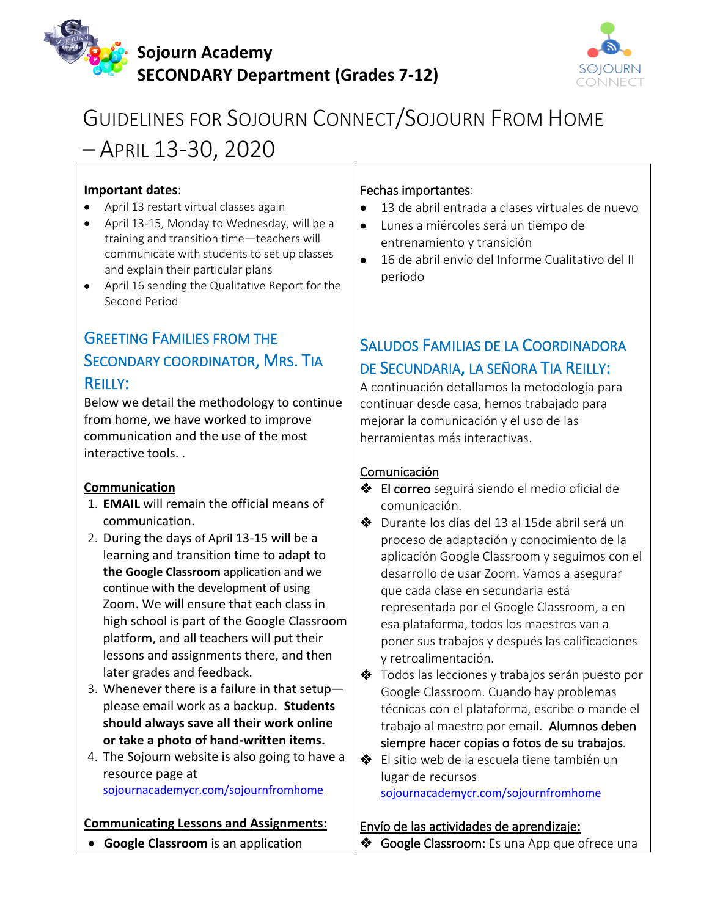



# GUIDELINES FOR SOJOURN CONNECT/SOJOURN FROM HOME – APRIL 13-30, 2020

### **Important dates**:

- April 13 restart virtual classes again
- April 13-15, Monday to Wednesday, will be a training and transition time—teachers will communicate with students to set up classes and explain their particular plans
- April 16 sending the Qualitative Report for the Second Period

## GREETING FAMILIES FROM THE SECONDARY COORDINATOR, MRS. TIA REILLY:

Below we detail the methodology to continue from home, we have worked to improve communication and the use of the most interactive tools. .

### **Communication**

- 1. **EMAIL** will remain the official means of communication.
- 2. During the days of April 13-15 will be a learning and transition time to adapt to **the Google Classroom** application and we continue with the development of using Zoom. We will ensure that each class in high school is part of the Google Classroom platform, and all teachers will put their lessons and assignments there, and then later grades and feedback.
- 3. Whenever there is a failure in that setup please email work as a backup. **Students should always save all their work online or take a photo of hand-written items.**
- 4. The Sojourn website is also going to have a resource page at [sojournacademycr.com/sojournfromhome](https://www.sojournacademycr.com/sojournfromhome)

### **Communicating Lessons and Assignments:**

### Fechas importantes:

- 13 de abril entrada a clases virtuales de nuevo
- Lunes a miércoles será un tiempo de entrenamiento y transición
- 16 de abril envío del Informe Cualitativo del II periodo

### SALUDOS FAMILIAS DE LA COORDINADORA DE SECUNDARIA, LA SEÑORA TIA REILLY:

A continuación detallamos la metodología para continuar desde casa, hemos trabajado para mejorar la comunicación y el uso de las herramientas más interactivas.

### Comunicación

- ❖ El correo seguirá siendo el medio oficial de comunicación.
- ❖ Durante los días del 13 al 15de abril será un proceso de adaptación y conocimiento de la aplicación Google Classroom y seguimos con el desarrollo de usar Zoom. Vamos a asegurar que cada clase en secundaria está representada por el Google Classroom, a en esa plataforma, todos los maestros van a poner sus trabajos y después las calificaciones y retroalimentación.
- ❖ Todos las lecciones y trabajos serán puesto por Google Classroom. Cuando hay problemas técnicas con el plataforma, escribe o mande el trabajo al maestro por email. Alumnos deben siempre hacer copias o fotos de su trabajos.
- ❖ El sitio web de la escuela tiene también un lugar de recursos [sojournacademycr.com/sojournfromhome](https://www.sojournacademycr.com/sojournfromhome)

### Envío de las actividades de aprendizaje:

- **Google Classroom** is an application
- ◆ Google Classroom: Es una App que ofrece una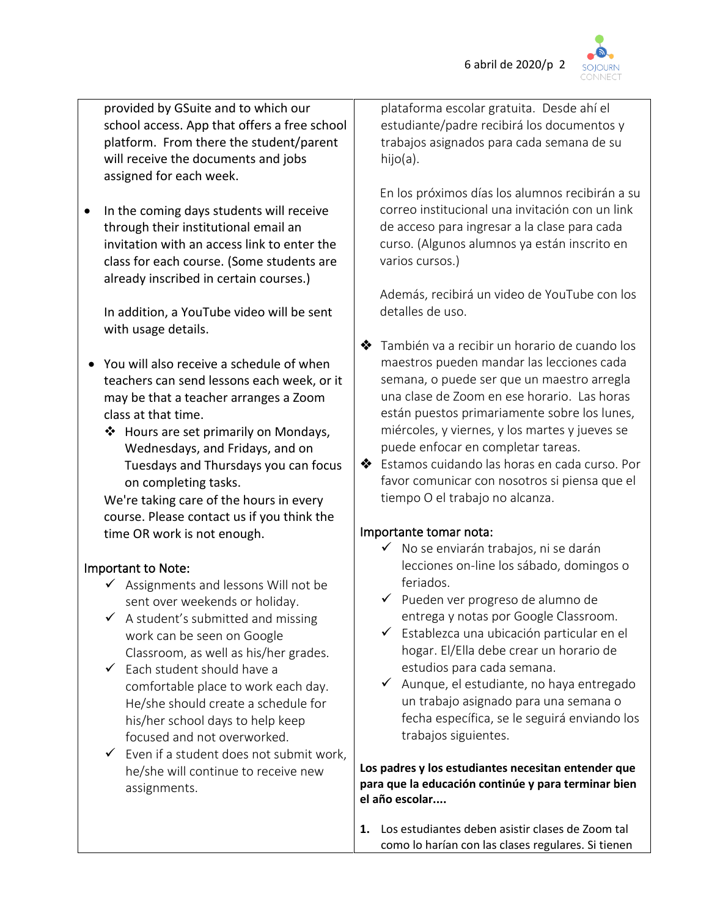

provided by GSuite and to which our school access. App that offers a free school platform. From there the student/parent will receive the documents and jobs assigned for each week.

• In the coming days students will receive through their institutional email an invitation with an access link to enter the class for each course. (Some students are already inscribed in certain courses.)

In addition, a YouTube video will be sent with usage details.

- You will also receive a schedule of when teachers can send lessons each week, or it may be that a teacher arranges a Zoom class at that time.
	- ❖ Hours are set primarily on Mondays, Wednesdays, and Fridays, and on Tuesdays and Thursdays you can focus on completing tasks.

We're taking care of the hours in every course. Please contact us if you think the time OR work is not enough.

### Important to Note:

- $\checkmark$  Assignments and lessons Will not be sent over weekends or holiday.
- $\checkmark$  A student's submitted and missing work can be seen on Google Classroom, as well as his/her grades.
- $\checkmark$  Each student should have a comfortable place to work each day. He/she should create a schedule for his/her school days to help keep focused and not overworked.
- $\checkmark$  Even if a student does not submit work, he/she will continue to receive new assignments.

plataforma escolar gratuita. Desde ahí el estudiante/padre recibirá los documentos y trabajos asignados para cada semana de su hijo(a).

En los próximos días los alumnos recibirán a su correo institucional una invitación con un link de acceso para ingresar a la clase para cada curso. (Algunos alumnos ya están inscrito en varios cursos.)

Además, recibirá un video de YouTube con los detalles de uso.

- ❖ También va a recibir un horario de cuando los maestros pueden mandar las lecciones cada semana, o puede ser que un maestro arregla una clase de Zoom en ese horario. Las horas están puestos primariamente sobre los lunes, miércoles, y viernes, y los martes y jueves se puede enfocar en completar tareas.
- ❖ Estamos cuidando las horas en cada curso. Por favor comunicar con nosotros si piensa que el tiempo O el trabajo no alcanza.

### Importante tomar nota:

- ✓ No se enviarán trabajos, ni se darán lecciones on-line los sábado, domingos o feriados.
- ✓ Pueden ver progreso de alumno de entrega y notas por Google Classroom.
- ✓ Establezca una ubicación particular en el hogar. El/Ella debe crear un horario de estudios para cada semana.
- ✓ Aunque, el estudiante, no haya entregado un trabajo asignado para una semana o fecha específica, se le seguirá enviando los trabajos siguientes.

**Los padres y los estudiantes necesitan entender que para que la educación continúe y para terminar bien el año escolar....**

**1.** Los estudiantes deben asistir clases de Zoom tal como lo harían con las clases regulares. Si tienen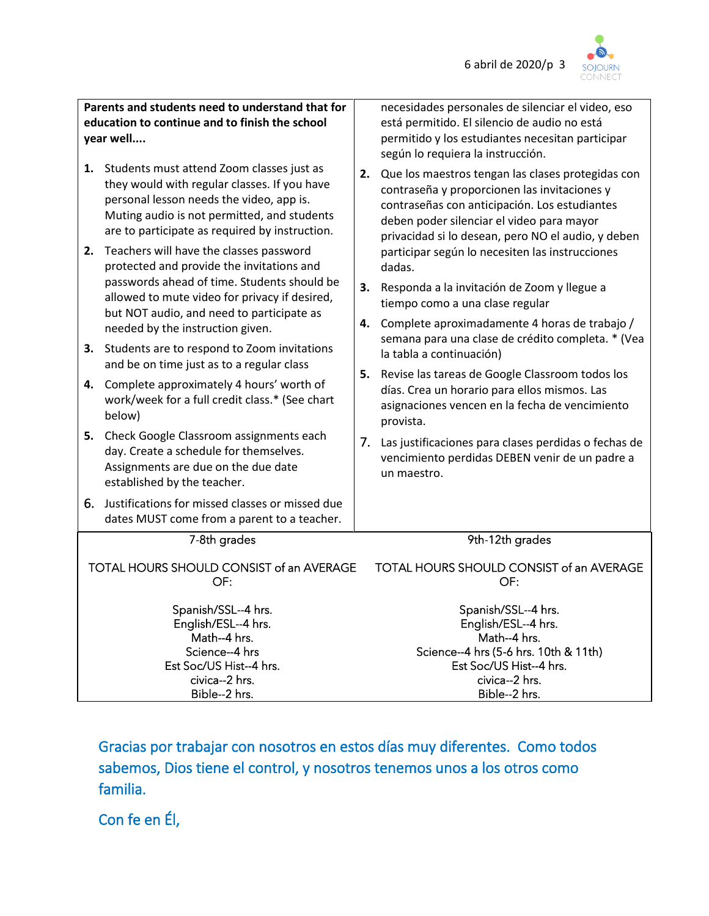

**Parents and students need to understand that for education to continue and to finish the school year well....**

- **1.** Students must attend Zoom classes just as they would with regular classes. If you have personal lesson needs the video, app is. Muting audio is not permitted, and students are to participate as required by instruction.
- **2.** Teachers will have the classes password protected and provide the invitations and passwords ahead of time. Students should be allowed to mute video for privacy if desired, but NOT audio, and need to participate as needed by the instruction given.
- **3.** Students are to respond to Zoom invitations and be on time just as to a regular class
- **4.** Complete approximately 4 hours' worth of work/week for a full credit class.\* (See chart below)
- **5.** Check Google Classroom assignments each day. Create a schedule for themselves. Assignments are due on the due date established by the teacher.
- 6. Justifications for missed classes or missed due dates MUST come from a parent to a teacher.

necesidades personales de silenciar el video, eso está permitido. El silencio de audio no está permitido y los estudiantes necesitan participar según lo requiera la instrucción.

- **2.** Que los maestros tengan las clases protegidas con contraseña y proporcionen las invitaciones y contraseñas con anticipación. Los estudiantes deben poder silenciar el video para mayor privacidad si lo desean, pero NO el audio, y deben participar según lo necesiten las instrucciones dadas.
- **3.** Responda a la invitación de Zoom y llegue a tiempo como a una clase regular
- **4.** Complete aproximadamente 4 horas de trabajo / semana para una clase de crédito completa. \* (Vea la tabla a continuación)
- **5.** Revise las tareas de Google Classroom todos los días. Crea un horario para ellos mismos. Las asignaciones vencen en la fecha de vencimiento provista.
- 7. Las justificaciones para clases perdidas o fechas de vencimiento perdidas DEBEN venir de un padre a un maestro.

#### 7-8th grades

TOTAL HOURS SHOULD CONSIST of an AVERAGE OF:

> Spanish/SSL--4 hrs. English/ESL--4 hrs. Math--4 hrs. Science--4 hrs Est Soc/US Hist--4 hrs. civica--2 hrs. Bible--2 hrs.

9th-12th grades

TOTAL HOURS SHOULD CONSIST of an AVERAGE OF:

> Spanish/SSL--4 hrs. English/ESL--4 hrs. Math--4 hrs. Science--4 hrs (5-6 hrs. 10th & 11th) Est Soc/US Hist--4 hrs. civica--2 hrs. Bible--2 hrs.

Gracias por trabajar con nosotros en estos días muy diferentes. Como todos sabemos, Dios tiene el control, y nosotros tenemos unos a los otros como familia.

Con fe en Él,